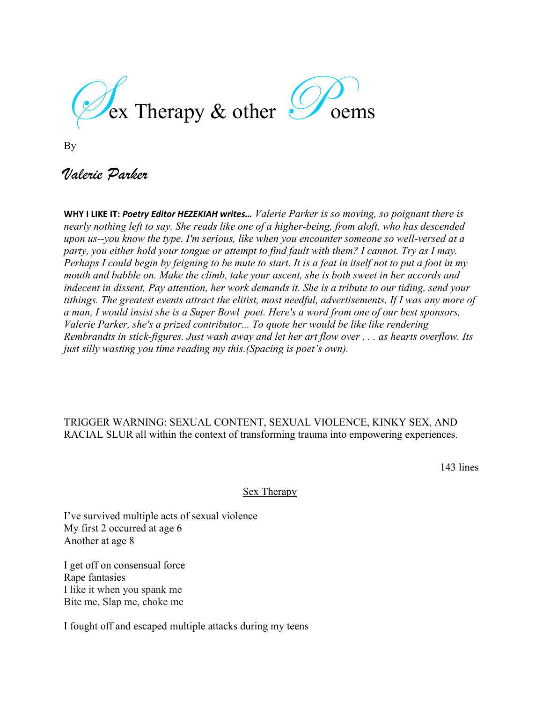$\mathcal{E}_{\text{ex}}$  Therapy & other  $\mathcal{F}_{\text{oems}}$ 



By

# *Valerie Parker*

**WHY I LIKE IT:** *Poetry Editor HEZEKIAH writes… Valerie Parker is so moving, so poignant there is nearly nothing left to say. She reads like one of a higher-being, from aloft, who has descended upon us--you know the type. I'm serious, like when you encounter someone so well-versed at a party, you either hold your tongue or attempt to find fault with them? I cannot. Try as I may. Perhaps I could begin by feigning to be mute to start. It is a feat in itself not to put a foot in my mouth and babble on. Make the climb, take your ascent, she is both sweet in her accords and indecent in dissent, Pay attention, her work demands it. She is a tribute to our tiding, send your tithings. The greatest events attract the elitist, most needful, advertisements. If I was any more of a man, I would insist she is a Super Bowl poet. Here's a word from one of our best sponsors, Valerie Parker, she's a prized contributor... To quote her would be like like rendering Rembrandts in stick-figures. Just wash away and let her art flow over . . . as hearts overflow. Its just silly wasting you time reading my this.(Spacing is poet's own).*

## TRIGGER WARNING: SEXUAL CONTENT, SEXUAL VIOLENCE, KINKY SEX, AND RACIAL SLUR all within the context of transforming trauma into empowering experiences.

143 lines

#### Sex Therapy

I've survived multiple acts of sexual violence My first 2 occurred at age 6 Another at age 8

I get off on consensual force Rape fantasies I like it when you spank me Bite me, Slap me, choke me

I fought off and escaped multiple attacks during my teens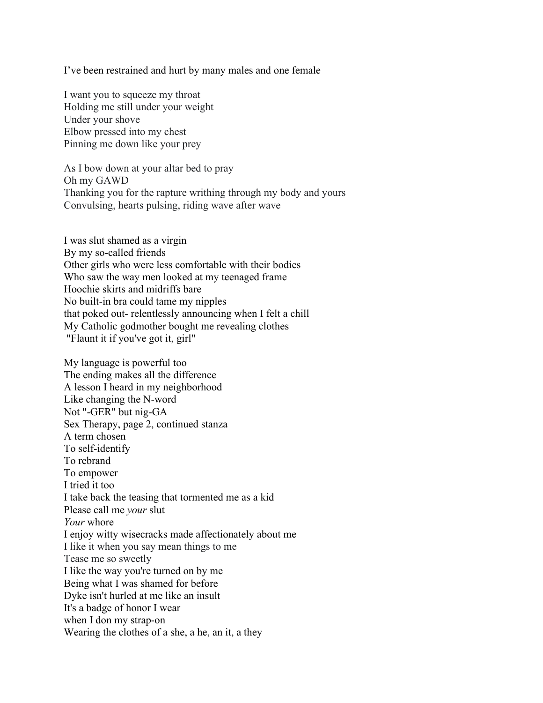I've been restrained and hurt by many males and one female

I want you to squeeze my throat Holding me still under your weight Under your shove Elbow pressed into my chest Pinning me down like your prey

As I bow down at your altar bed to pray Oh my GAWD Thanking you for the rapture writhing through my body and yours Convulsing, hearts pulsing, riding wave after wave

I was slut shamed as a virgin By my so-called friends Other girls who were less comfortable with their bodies Who saw the way men looked at my teenaged frame Hoochie skirts and midriffs bare No built-in bra could tame my nipples that poked out- relentlessly announcing when I felt a chill My Catholic godmother bought me revealing clothes "Flaunt it if you've got it, girl"

My language is powerful too The ending makes all the difference A lesson I heard in my neighborhood Like changing the N-word Not "-GER" but nig-GA Sex Therapy, page 2, continued stanza A term chosen To self-identify To rebrand To empower I tried it too I take back the teasing that tormented me as a kid Please call me *your* slut *Your* whore I enjoy witty wisecracks made affectionately about me I like it when you say mean things to me Tease me so sweetly I like the way you're turned on by me Being what I was shamed for before Dyke isn't hurled at me like an insult It's a badge of honor I wear when I don my strap-on Wearing the clothes of a she, a he, an it, a they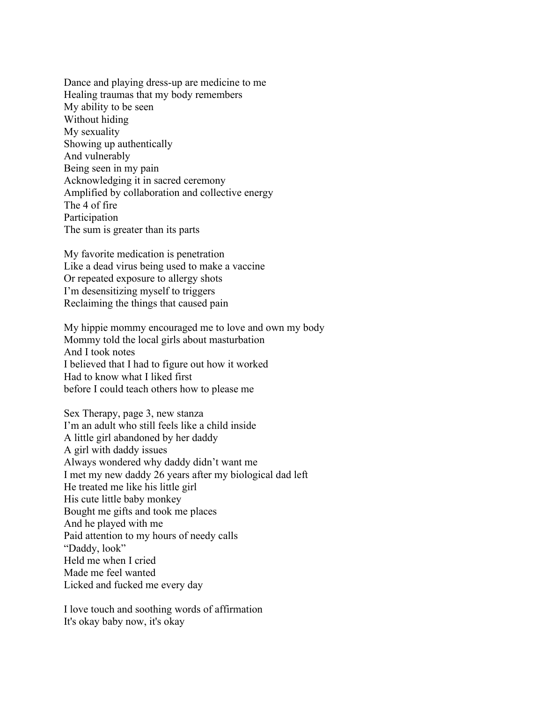Dance and playing dress-up are medicine to me Healing traumas that my body remembers My ability to be seen Without hiding My sexuality Showing up authentically And vulnerably Being seen in my pain Acknowledging it in sacred ceremony Amplified by collaboration and collective energy The 4 of fire Participation The sum is greater than its parts

My favorite medication is penetration Like a dead virus being used to make a vaccine Or repeated exposure to allergy shots I'm desensitizing myself to triggers Reclaiming the things that caused pain

My hippie mommy encouraged me to love and own my body Mommy told the local girls about masturbation And I took notes I believed that I had to figure out how it worked Had to know what I liked first before I could teach others how to please me

Sex Therapy, page 3, new stanza I'm an adult who still feels like a child inside A little girl abandoned by her daddy A girl with daddy issues Always wondered why daddy didn't want me I met my new daddy 26 years after my biological dad left He treated me like his little girl His cute little baby monkey Bought me gifts and took me places And he played with me Paid attention to my hours of needy calls "Daddy, look" Held me when I cried Made me feel wanted Licked and fucked me every day

I love touch and soothing words of affirmation It's okay baby now, it's okay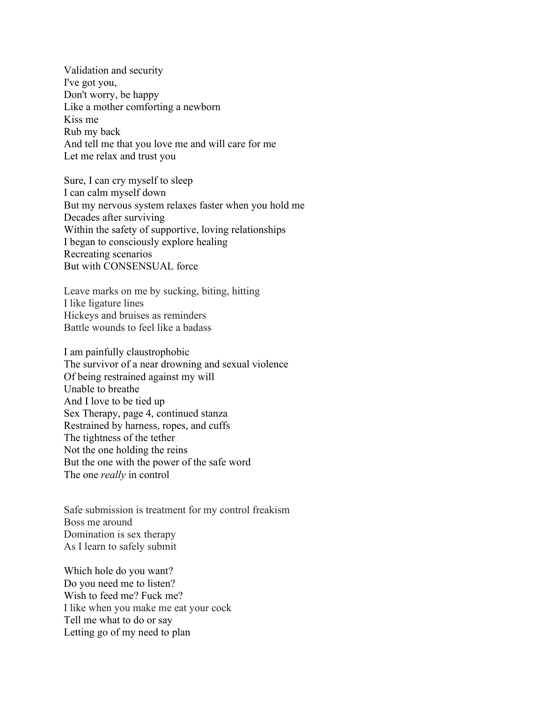Validation and security I've got you, Don't worry, be happy Like a mother comforting a newborn Kiss me Rub my back And tell me that you love me and will care for me Let me relax and trust you

Sure, I can cry myself to sleep I can calm myself down But my nervous system relaxes faster when you hold me Decades after surviving Within the safety of supportive, loving relationships I began to consciously explore healing Recreating scenarios But with CONSENSUAL force

Leave marks on me by sucking, biting, hitting I like ligature lines Hickeys and bruises as reminders Battle wounds to feel like a badass

I am painfully claustrophobic The survivor of a near drowning and sexual violence Of being restrained against my will Unable to breathe And I love to be tied up Sex Therapy, page 4, continued stanza Restrained by harness, ropes, and cuffs The tightness of the tether Not the one holding the reins But the one with the power of the safe word The one *really* in control

Safe submission is treatment for my control freakism Boss me around Domination is sex therapy As I learn to safely submit

Which hole do you want? Do you need me to listen? Wish to feed me? Fuck me? I like when you make me eat your cock Tell me what to do or say Letting go of my need to plan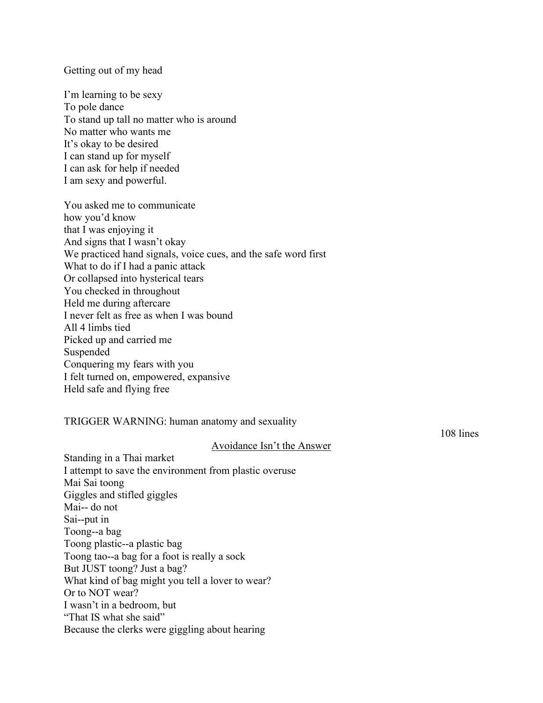Getting out of my head

I'm learning to be sexy To pole dance To stand up tall no matter who is around No matter who wants me It's okay to be desired I can stand up for myself I can ask for help if needed I am sexy and powerful.

You asked me to communicate how you'd know that I was enjoying it And signs that I wasn't okay We practiced hand signals, voice cues, and the safe word first What to do if I had a panic attack Or collapsed into hysterical tears You checked in throughout Held me during aftercare I never felt as free as when I was bound All 4 limbs tied Picked up and carried me Suspended Conquering my fears with you I felt turned on, empowered, expansive Held safe and flying free

TRIGGER WARNING: human anatomy and sexuality

108 lines

#### Avoidance Isn't the Answer

Standing in a Thai market I attempt to save the environment from plastic overuse Mai Sai toong Giggles and stifled giggles Mai-- do not Sai--put in Toong--a bag Toong plastic--a plastic bag Toong tao--a bag for a foot is really a sock But JUST toong? Just a bag? What kind of bag might you tell a lover to wear? Or to NOT wear? I wasn't in a bedroom, but "That IS what she said" Because the clerks were giggling about hearing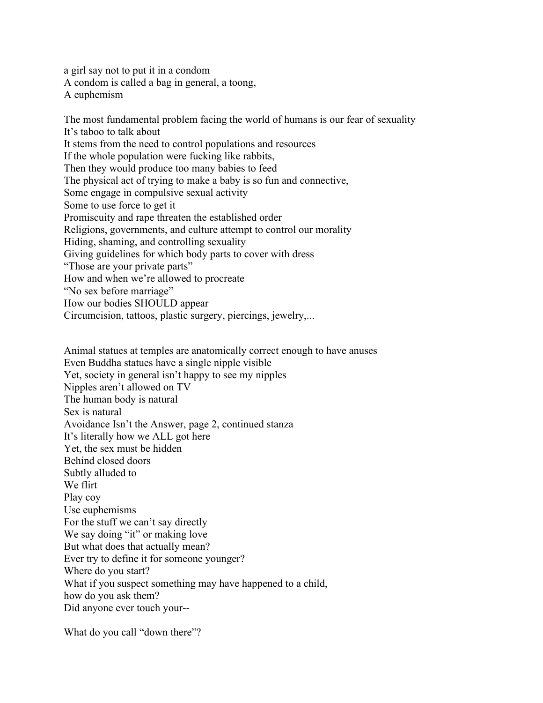a girl say not to put it in a condom A condom is called a bag in general, a toong, A euphemism

The most fundamental problem facing the world of humans is our fear of sexuality It's taboo to talk about It stems from the need to control populations and resources If the whole population were fucking like rabbits, Then they would produce too many babies to feed The physical act of trying to make a baby is so fun and connective, Some engage in compulsive sexual activity Some to use force to get it Promiscuity and rape threaten the established order Religions, governments, and culture attempt to control our morality Hiding, shaming, and controlling sexuality Giving guidelines for which body parts to cover with dress "Those are your private parts" How and when we're allowed to procreate "No sex before marriage" How our bodies SHOULD appear Circumcision, tattoos, plastic surgery, piercings, jewelry,...

Animal statues at temples are anatomically correct enough to have anuses Even Buddha statues have a single nipple visible Yet, society in general isn't happy to see my nipples Nipples aren't allowed on TV The human body is natural Sex is natural Avoidance Isn't the Answer, page 2, continued stanza It's literally how we ALL got here Yet, the sex must be hidden Behind closed doors Subtly alluded to We flirt Play coy Use euphemisms For the stuff we can't say directly We say doing "it" or making love But what does that actually mean? Ever try to define it for someone younger? Where do you start? What if you suspect something may have happened to a child, how do you ask them? Did anyone ever touch your--

What do you call "down there"?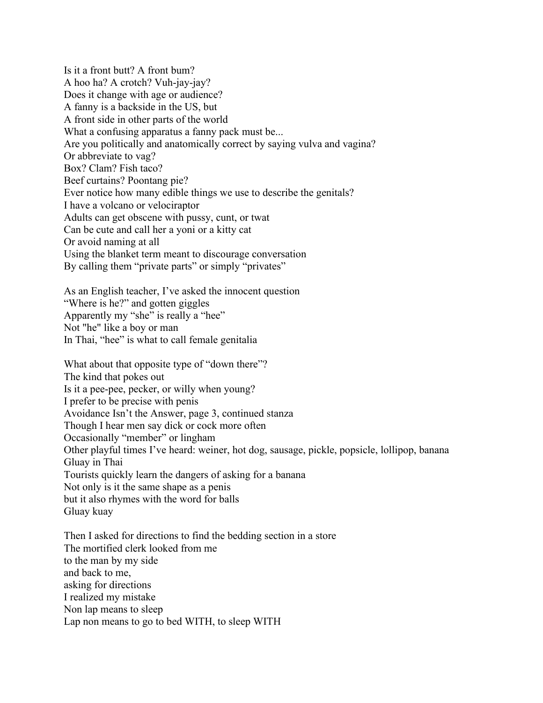Is it a front butt? A front bum? A hoo ha? A crotch? Vuh-jay-jay? Does it change with age or audience? A fanny is a backside in the US, but A front side in other parts of the world What a confusing apparatus a fanny pack must be... Are you politically and anatomically correct by saying vulva and vagina? Or abbreviate to vag? Box? Clam? Fish taco? Beef curtains? Poontang pie? Ever notice how many edible things we use to describe the genitals? I have a volcano or velociraptor Adults can get obscene with pussy, cunt, or twat Can be cute and call her a yoni or a kitty cat Or avoid naming at all Using the blanket term meant to discourage conversation By calling them "private parts" or simply "privates"

As an English teacher, I've asked the innocent question "Where is he?" and gotten giggles Apparently my "she" is really a "hee" Not "he" like a boy or man In Thai, "hee" is what to call female genitalia

What about that opposite type of "down there"? The kind that pokes out Is it a pee-pee, pecker, or willy when young? I prefer to be precise with penis Avoidance Isn't the Answer, page 3, continued stanza Though I hear men say dick or cock more often Occasionally "member" or lingham Other playful times I've heard: weiner, hot dog, sausage, pickle, popsicle, lollipop, banana Gluay in Thai Tourists quickly learn the dangers of asking for a banana Not only is it the same shape as a penis but it also rhymes with the word for balls Gluay kuay

Then I asked for directions to find the bedding section in a store The mortified clerk looked from me to the man by my side and back to me, asking for directions I realized my mistake Non lap means to sleep Lap non means to go to bed WITH, to sleep WITH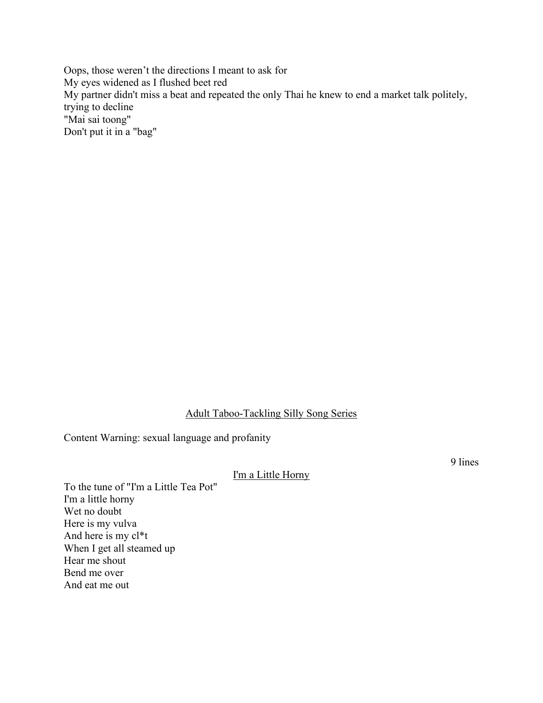Oops, those weren't the directions I meant to ask for My eyes widened as I flushed beet red My partner didn't miss a beat and repeated the only Thai he knew to end a market talk politely, trying to decline "Mai sai toong" Don't put it in a "bag"

#### Adult Taboo-Tackling Silly Song Series

Content Warning: sexual language and profanity

#### I'm a Little Horny

To the tune of "I'm a Little Tea Pot" I'm a little horny Wet no doubt Here is my vulva And here is my cl\*t When I get all steamed up Hear me shout Bend me over And eat me out

9 lines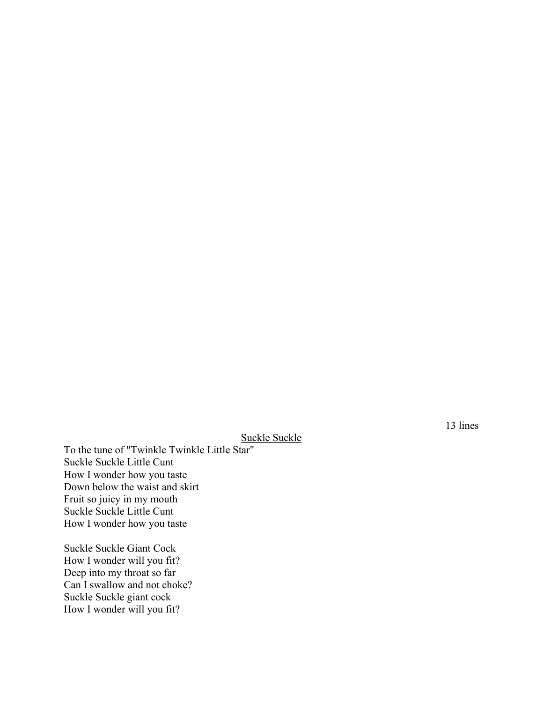### Suckle Suckle

To the tune of "Twinkle Twinkle Little Star" Suckle Suckle Little Cunt How I wonder how you taste Down below the waist and skirt Fruit so juicy in my mouth Suckle Suckle Little Cunt How I wonder how you taste

Suckle Suckle Giant Cock How I wonder will you fit? Deep into my throat so far Can I swallow and not choke? Suckle Suckle giant cock How I wonder will you fit?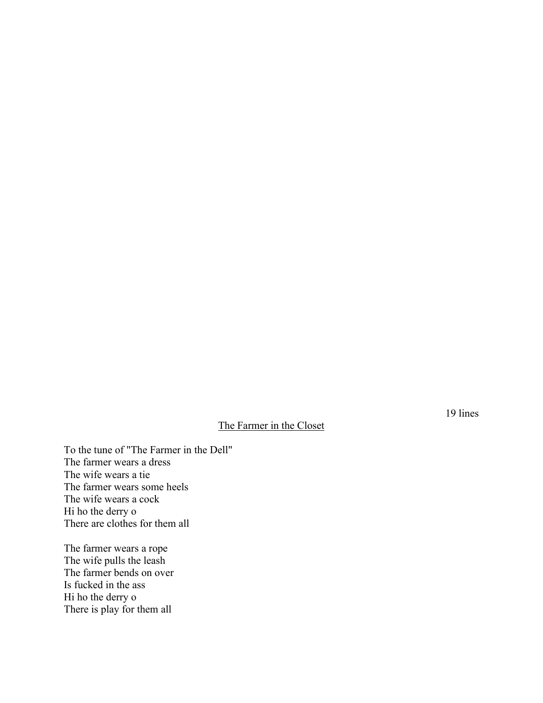# The Farmer in the Closet

To the tune of "The Farmer in the Dell" The farmer wears a dress The wife wears a tie The farmer wears some heels The wife wears a cock Hi ho the derry o There are clothes for them all

The farmer wears a rope The wife pulls the leash The farmer bends on over Is fucked in the ass Hi ho the derry o There is play for them all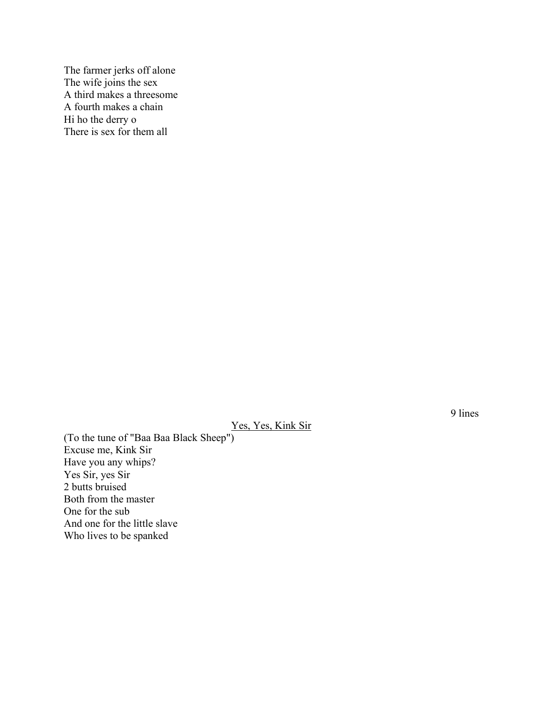The farmer jerks off alone The wife joins the sex A third makes a threesome A fourth makes a chain Hi ho the derry o There is sex for them all

9 lines

## Yes, Yes, Kink Sir

(To the tune of "Baa Baa Black Sheep") Excuse me, Kink Sir Have you any whips? Yes Sir, yes Sir 2 butts bruised Both from the master One for the sub And one for the little slave Who lives to be spanked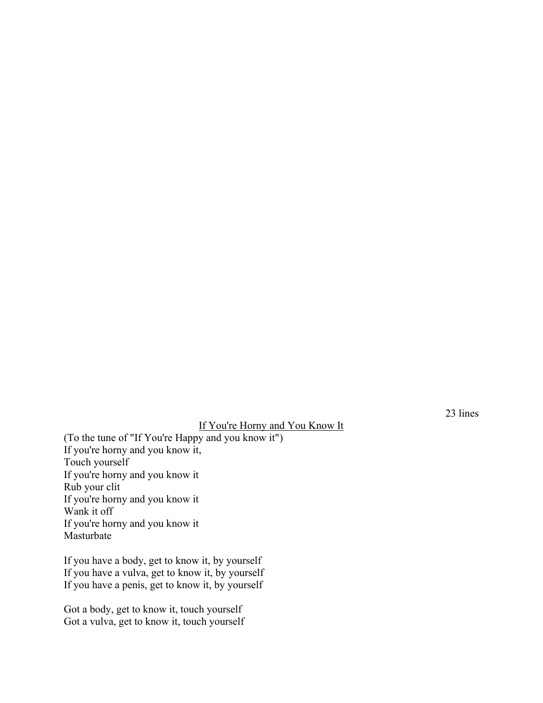### If You're Horny and You Know It

(To the tune of "If You're Happy and you know it") If you're horny and you know it, Touch yourself If you're horny and you know it Rub your clit If you're horny and you know it Wank it off If you're horny and you know it Masturbate

If you have a body, get to know it, by yourself If you have a vulva, get to know it, by yourself If you have a penis, get to know it, by yourself

Got a body, get to know it, touch yourself Got a vulva, get to know it, touch yourself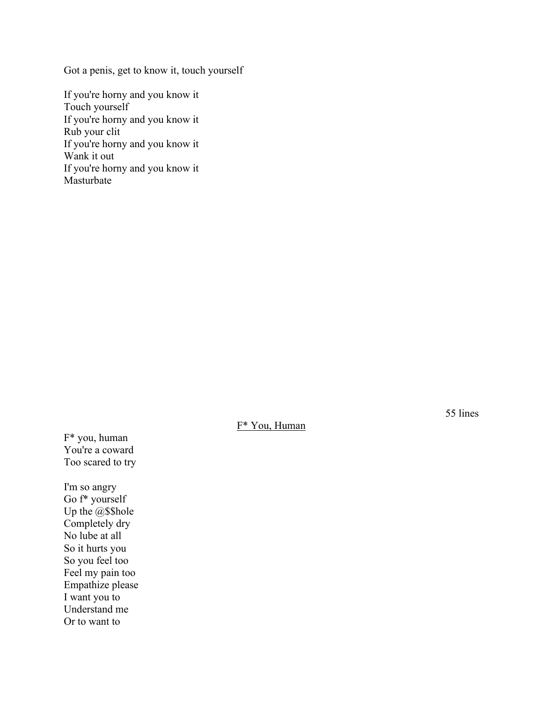Got a penis, get to know it, touch yourself

If you're horny and you know it Touch yourself If you're horny and you know it Rub your clit If you're horny and you know it Wank it out If you're horny and you know it Masturbate

55 lines

F\* You, Human

F\* you, human You're a coward Too scared to try

I'm so angry Go f\* yourself Up the @\$\$hole Completely dry No lube at all So it hurts you So you feel too Feel my pain too Empathize please I want you to Understand me Or to want to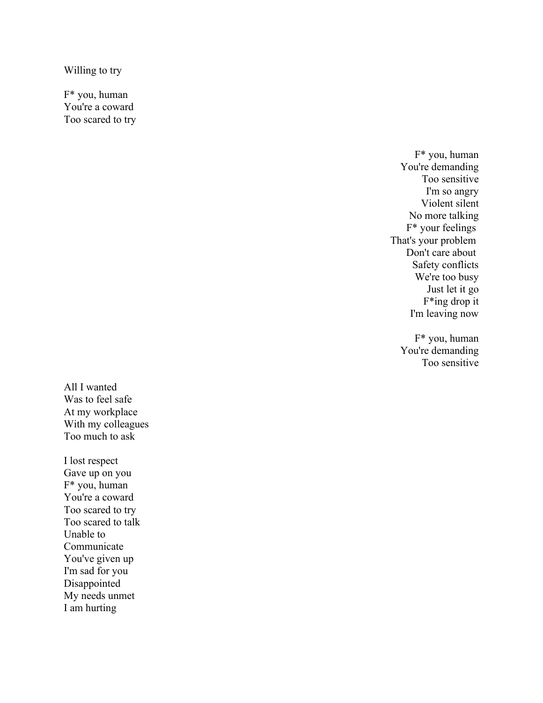Willing to try

F\* you, human You're a coward Too scared to try

> F \* you, human You're demanding Too sensitive I'm so angry Violent silent No more talking F\* your feelings That's your problem Don't care about Safety conflicts We're too busy Just let it go F\*ing drop it I'm leaving now

F\* you, human You're demanding Too sensitive

All I wanted Was to feel safe At my workplace With my colleagues Too much to ask

I lost respect Gave up on you F\* you, human You're a coward Too scared to try Too scared to talk Unable to Communicate You've given up I'm sad for you Disappointed My needs unmet I am hurting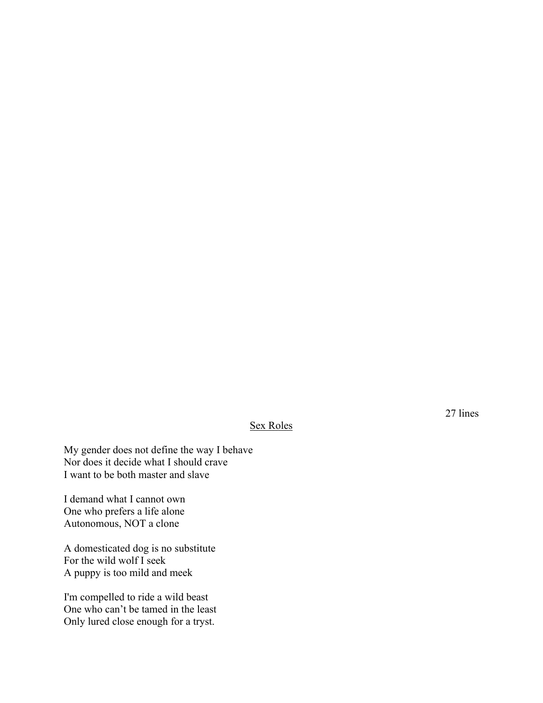# Sex Roles

My gender does not define the way I behave Nor does it decide what I should crave I want to be both master and slave

I demand what I cannot own One who prefers a life alone Autonomous, NOT a clone

A domesticated dog is no substitute For the wild wolf I seek A puppy is too mild and meek

I'm compelled to ride a wild beast One who can't be tamed in the least Only lured close enough for a tryst.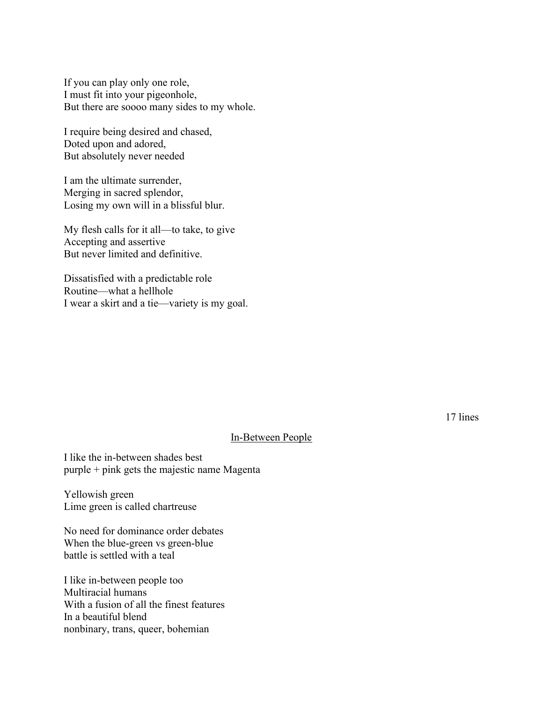If you can play only one role, I must fit into your pigeonhole, But there are soooo many sides to my whole.

I require being desired and chased, Doted upon and adored, But absolutely never needed

I am the ultimate surrender, Merging in sacred splendor, Losing my own will in a blissful blur.

My flesh calls for it all—to take, to give Accepting and assertive But never limited and definitive.

Dissatisfied with a predictable role Routine—what a hellhole I wear a skirt and a tie—variety is my goal.

17 lines

#### In-Between People

I like the in-between shades best purple + pink gets the majestic name Magenta

Yellowish green Lime green is called chartreuse

No need for dominance order debates When the blue-green vs green-blue battle is settled with a teal

I like in-between people too Multiracial humans With a fusion of all the finest features In a beautiful blend nonbinary, trans, queer, bohemian